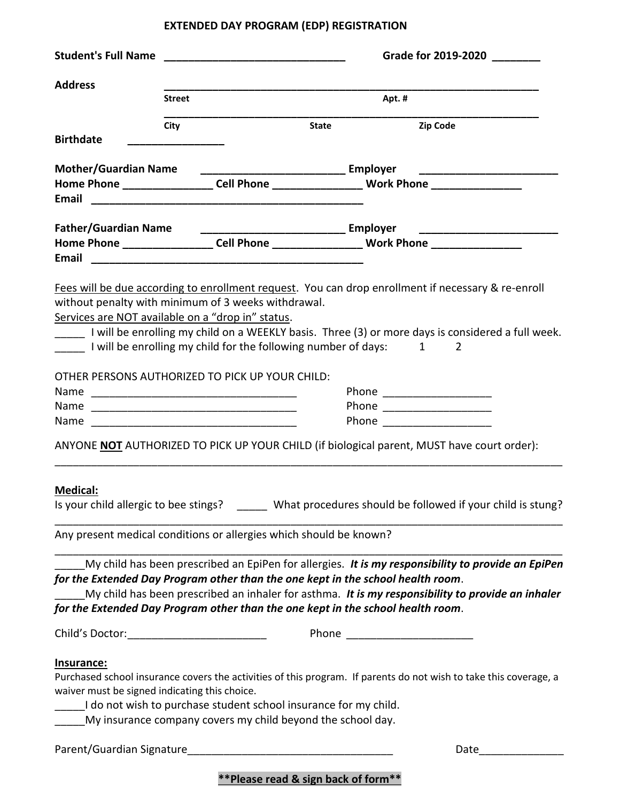## **EXTENDED DAY PROGRAM (EDP) REGISTRATION**

|                                                                                 | <b>Student's Full Name Example 2008</b> |                                                                  |              | Grade for 2019-2020 |                                                                                                                   |  |
|---------------------------------------------------------------------------------|-----------------------------------------|------------------------------------------------------------------|--------------|---------------------|-------------------------------------------------------------------------------------------------------------------|--|
| <b>Address</b>                                                                  |                                         |                                                                  |              |                     |                                                                                                                   |  |
|                                                                                 | <b>Street</b>                           |                                                                  |              | Apt. #              |                                                                                                                   |  |
| <b>Birthdate</b>                                                                | City                                    |                                                                  | <b>State</b> |                     | <b>Zip Code</b>                                                                                                   |  |
|                                                                                 |                                         |                                                                  |              |                     |                                                                                                                   |  |
| <b>Mother/Guardian Name</b>                                                     |                                         |                                                                  |              |                     |                                                                                                                   |  |
|                                                                                 |                                         |                                                                  |              |                     | Home Phone _____________________Cell Phone __________________________Work Phone ___________________               |  |
| <b>Father/Guardian Name</b>                                                     |                                         |                                                                  |              |                     |                                                                                                                   |  |
|                                                                                 |                                         |                                                                  |              |                     | Home Phone _____________________Cell Phone _________________________Work Phone ____________________               |  |
|                                                                                 |                                         |                                                                  |              |                     |                                                                                                                   |  |
|                                                                                 |                                         |                                                                  |              |                     | Fees will be due according to enrollment request. You can drop enrollment if necessary & re-enroll                |  |
| without penalty with minimum of 3 weeks withdrawal.                             |                                         |                                                                  |              |                     |                                                                                                                   |  |
| Services are NOT available on a "drop in" status.                               |                                         |                                                                  |              |                     |                                                                                                                   |  |
|                                                                                 |                                         |                                                                  |              |                     | _____ I will be enrolling my child on a WEEKLY basis. Three (3) or more days is considered a full week.           |  |
| I will be enrolling my child for the following number of days: 1                |                                         |                                                                  |              |                     | 2                                                                                                                 |  |
|                                                                                 |                                         |                                                                  |              |                     |                                                                                                                   |  |
| OTHER PERSONS AUTHORIZED TO PICK UP YOUR CHILD:                                 |                                         |                                                                  |              |                     |                                                                                                                   |  |
|                                                                                 |                                         |                                                                  |              |                     | Phone _______________________                                                                                     |  |
|                                                                                 |                                         |                                                                  |              |                     |                                                                                                                   |  |
|                                                                                 |                                         |                                                                  |              |                     |                                                                                                                   |  |
| Name <u>___________________________________</u>                                 |                                         |                                                                  |              |                     | Phone ______________________                                                                                      |  |
|                                                                                 |                                         |                                                                  |              |                     | ANYONE NOT AUTHORIZED TO PICK UP YOUR CHILD (if biological parent, MUST have court order):                        |  |
|                                                                                 |                                         |                                                                  |              |                     |                                                                                                                   |  |
| <b>Medical:</b>                                                                 |                                         |                                                                  |              |                     |                                                                                                                   |  |
|                                                                                 |                                         |                                                                  |              |                     | Is your child allergic to bee stings? ______ What procedures should be followed if your child is stung?           |  |
| Any present medical conditions or allergies which should be known?              |                                         |                                                                  |              |                     |                                                                                                                   |  |
|                                                                                 |                                         |                                                                  |              |                     |                                                                                                                   |  |
|                                                                                 |                                         |                                                                  |              |                     | My child has been prescribed an EpiPen for allergies. It is my responsibility to provide an EpiPen                |  |
| for the Extended Day Program other than the one kept in the school health room. |                                         |                                                                  |              |                     |                                                                                                                   |  |
|                                                                                 |                                         |                                                                  |              |                     | My child has been prescribed an inhaler for asthma. It is my responsibility to provide an inhaler                 |  |
| for the Extended Day Program other than the one kept in the school health room. |                                         |                                                                  |              |                     |                                                                                                                   |  |
| Child's Doctor:________________________________                                 |                                         |                                                                  |              |                     |                                                                                                                   |  |
| <u>Insurance:</u>                                                               |                                         |                                                                  |              |                     |                                                                                                                   |  |
|                                                                                 |                                         |                                                                  |              |                     | Purchased school insurance covers the activities of this program. If parents do not wish to take this coverage, a |  |
| waiver must be signed indicating this choice.                                   |                                         |                                                                  |              |                     |                                                                                                                   |  |
|                                                                                 |                                         | I do not wish to purchase student school insurance for my child. |              |                     |                                                                                                                   |  |
| My insurance company covers my child beyond the school day.                     |                                         |                                                                  |              |                     |                                                                                                                   |  |
|                                                                                 |                                         |                                                                  |              |                     |                                                                                                                   |  |
|                                                                                 |                                         |                                                                  |              |                     | Date and the state of the state of the state of the state of the state of the state of the state of the state     |  |
|                                                                                 |                                         | ** Please read & sign back of form**                             |              |                     |                                                                                                                   |  |
|                                                                                 |                                         |                                                                  |              |                     |                                                                                                                   |  |